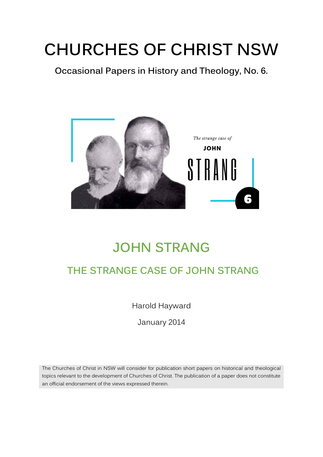# **CHURCHES OF CHRIST NSW**

**Occasional Papers in History and Theology, No. 6.**



## **JOHN STRANG**

### **THE STRANGE CASE OF JOHN STRANG**

Harold Hayward

January 2014

The Churches of Christ in NSW will consider for publication short papers on historical and theological topics relevant to the development of Churches of Christ. The publication of a paper does not constitute an official endorsement of the views expressed therein.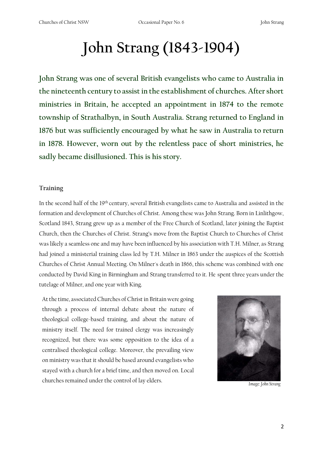## **John Strang (1843-1904)**

**John Strang was one of several British evangelists who came to Australia in the nineteenth century to assist in the establishment of churches. After short ministries in Britain, he accepted an appointment in 1874 to the remote township of Strathalbyn, in South Australia. Strang returned to England in 1876 but was sufficiently encouraged by what he saw in Australia to return in 1878. However, worn out by the relentless pace of short ministries, he sadly became disillusioned. This is his story.**

#### **Training**

In the second half of the 19<sup>th</sup> century, several British evangelists came to Australia and assisted in the formation and development of Churches of Christ. Among these was John Strang. Born in Linlithgow, Scotland 1843, Strang grew up as a member of the Free Church of Scotland, later joining the Baptist Church, then the Churches of Christ. Strang's move from the Baptist Church to Churches of Christ was likely a seamless one and may have been influenced by his association with T.H. Milner, as Strang had joined a ministerial training class led by T.H. Milner in 1863 under the auspices of the Scottish Churches of Christ Annual Meeting. On Milner's death in 1866, this scheme was combined with one conducted by David King in Birmingham and Strang transferred to it. He spent three years under the tutelage of Milner, and one year with King.

At the time, associated Churches of Christ in Britain were going through a process of internal debate about the nature of theological college-based training, and about the nature of ministry itself. The need for trained clergy was increasingly recognized, but there was some opposition to the idea of a centralised theological college. Moreover, the prevailing view on ministry was that it should be based around evangelists who stayed with a church for a brief time, and then moved on. Local churches remained under the control of lay elders. *Image: John Strang*

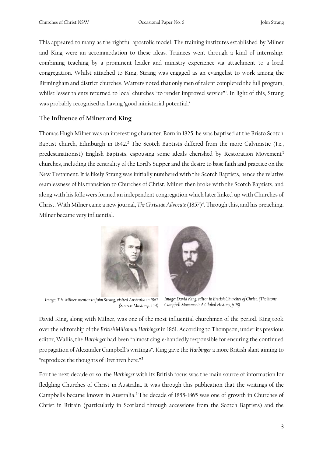This appeared to many as the rightful apostolic model. The training institutes established by Milner and King were an accommodation to these ideas. Trainees went through a kind of internship: combining teaching by a prominent leader and ministry experience via attachment to a local congregation. Whilst attached to King, Strang was engaged as an evangelist to work among the Birmingham and district churches. Watters noted that only men of talent completed the full program, whilst lesser talents returned to local churches "to render improved service"<sup>1</sup>. In light of this, Strang was probably recognised as having 'good ministerial potential.'

#### **The Influence of Milner and King**

Thomas Hugh Milner was an interesting character. Born in 1825, he was baptised at the Bristo Scotch Baptist church, Edinburgh in 1842.<sup>2</sup> The Scotch Baptists differed from the more Calvinistic (I.e., predestinationist) English Baptists, espousing some ideals cherished by Restoration Movement<sup>3</sup> churches, including the centrality of the Lord's Supper and the desire to base faith and practice on the New Testament. It is likely Strang was initially numbered with the Scotch Baptists, hence the relative seamlessness of his transition to Churches of Christ. Milner then broke with the Scotch Baptists, and along with his followers formed an independent congregation which later linked up with Churches of Christ. With Milner came a new journal, *The Christian Advocate* (1857)<sup>4</sup>. Through this, and his preaching, Milner became very influential.





*Image: T.H. Milner, mentor to John Strang, visited Australia in 1862 (Source: Maston p. 154)*

*Image: David King, editor in British Churches of Christ. (The Stone-Campbell Movement: A Global History, p.98)*

David King, along with Milner, was one of the most influential churchmen of the period. King took over the editorship of the *British Millennial Harbinger* in 1861. According to Thompson, under its previous editor, Wallis, the *Harbinger* had been "almost single-handedly responsible for ensuring the continued propagation of Alexander Campbell's writings". King gave the *Harbinger* a more British slant aiming to "reproduce the thoughts of Brethren here."<sup>5</sup>

For the next decade or so, the *Harbinger* with its British focus was the main source of information for fledgling Churches of Christ in Australia. It was through this publication that the writings of the Campbells became known in Australia.<sup>6</sup> The decade of 1855-1865 was one of growth in Churches of Christ in Britain (particularly in Scotland through accessions from the Scotch Baptists) and the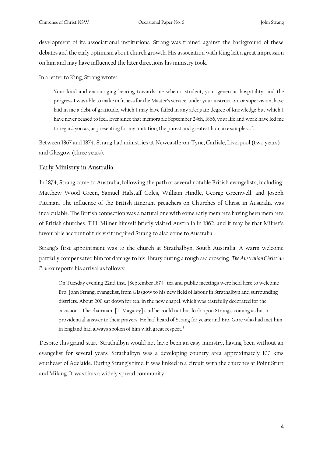development of its associational institutions. Strang was trained against the background of these debates and the early optimism about church growth. His association with King left a great impression on him and may have influenced the later directions his ministry took.

In a letter to King, Strang wrote:

Your kind and encouraging bearing towards me when a student, your generous hospitality, and the progress I was able to make in fitness for the Master's service, under your instruction, or supervision, have laid in me a debt of gratitude, which I may have failed in any adequate degree of knowledge but which I have never ceased to feel. Ever since that memorable September 24th, 1866, your life and work have led me to regard you as, as presenting for my imitation, the purest and greatest human examples...<sup>7</sup>.

Between 1867 and 1874, Strang had ministries at Newcastle-on-Tyne, Carlisle, Liverpool (two years) and Glasgow (three years).

#### **Early Ministry in Australia**

In 1874, Strang came to Australia, following the path of several notable British evangelists, including: Matthew Wood Green, Samuel Halstaff Coles, William Hindle, George Greenwell, and Joseph Pittman. The influence of the British itinerant preachers on Churches of Christ in Australia was incalculable. The British connection was a natural one with some early members having been members of British churches. T.H. Milner himself briefly visited Australia in 1862, and it may be that Milner's favourable account of this visit inspired Strang to also come to Australia.

Strang's first appointment was to the church at Strathalbyn, South Australia. A warm welcome partially compensated him for damage to his library during a rough sea crossing. *The Australian Christian Pioneer* reports his arrival as follows:

On Tuesday evening 22nd.inst. [September 1874] tea and public meetings were held here to welcome Bro. John Strang, evangelist, from Glasgow to his new field of labour in Strathalbyn and surrounding districts. About 200 sat down for tea, in the new chapel, which was tastefully decorated for the occasion… The chairman, [T. Magarey] said he could not but look upon Strang's coming as but a providential answer to their prayers. He had heard of Strang for years; and Bro. Gore who had met him in England had always spoken of him with great respect.<sup>8</sup>

Despite this grand start, Strathalbyn would not have been an easy ministry, having been without an evangelist for several years. Strathalbyn was a developing country area approximately 100 kms southeast of Adelaide. During Strang's time, it was linked in a circuit with the churches at Point Sturt and Milang. It was thus a widely spread community.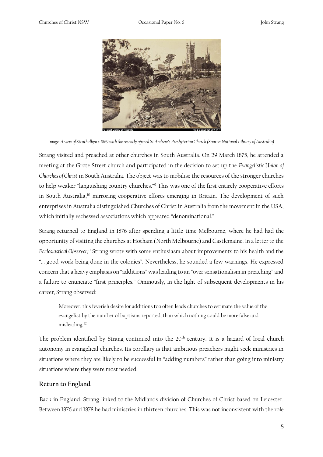

*Image: A view of Strathalbyn c.1869 with the recently opened St.Andrew's Presbyterian Church (Source: National Library of Australia)*

Strang visited and preached at other churches in South Australia. On 29 March 1875, he attended a meeting at the Grote Street church and participated in the decision to set up the *Evangelistic Union of Churches of Christ* in South Australia. The object was to mobilise the resources of the stronger churches to help weaker "languishing country churches."<sup>9</sup> This was one of the first entirely cooperative efforts in South Australia,<sup>10</sup> mirroring cooperative efforts emerging in Britain. The development of such enterprises in Australia distinguished Churches of Christ in Australia from the movement in the USA, which initially eschewed associations which appeared "denominational."

Strang returned to England in 1876 after spending a little time Melbourne, where he had had the opportunity of visiting the churches at Hotham (North Melbourne) and Castlemaine. In a letter to the *Ecclesiastical Observer,<sup>11</sup>* Strang wrote with some enthusiasm about improvements to his health and the "... good work being done in the colonies". Nevertheless, he sounded a few warnings. He expressed concern that a heavy emphasis on "additions" was leading to an "over sensationalism in preaching" and a failure to enunciate "first principles." Ominously, in the light of subsequent developments in his career, Strang observed:

Moreover, this feverish desire for additions too often leads churches to estimate the value of the evangelist by the number of baptisms reported, than which nothing could be more false and misleading.<sup>12</sup>

The problem identified by Strang continued into the 20<sup>th</sup> century. It is a hazard of local church autonomy in evangelical churches. Its corollary is that ambitious preachers might seek ministries in situations where they are likely to be successful in "adding numbers" rather than going into ministry situations where they were most needed.

#### **Return to England**

Back in England, Strang linked to the Midlands division of Churches of Christ based on Leicester. Between 1876 and 1878 he had ministries in thirteen churches. This was not inconsistent with the role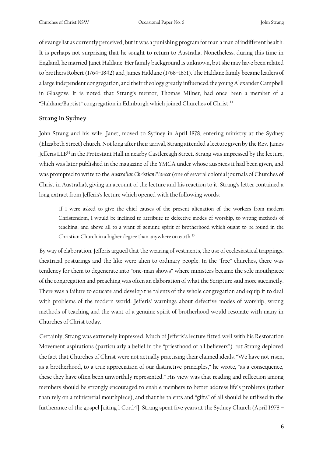of evangelist as currently perceived, but it was a punishing program for man a man of indifferent health. It is perhaps not surprising that he sought to return to Australia. Nonetheless, during this time in England, he married Janet Haldane. Her family background is unknown, but she may have been related to brothers Robert (1764–1842) and James Haldane (1768–1851). The Haldane family became leaders of a large independent congregation, and their theology greatly influenced the young Alexander Campbell in Glasgow. It is noted that Strang's mentor, Thomas Milner, had once been a member of a "Haldane/Baptist" congregation in Edinburgh which joined Churches of Christ.<sup>13</sup>

#### **Strang in Sydney**

John Strang and his wife, Janet, moved to Sydney in April 1878, entering ministry at the Sydney (Elizabeth Street) church. Not long after their arrival, Strang attended a lecture given by the Rev. James Jefferis LLB<sup>14</sup>in the Protestant Hall in nearby Castlereagh Street. Strang was impressed by the lecture, which was later published in the magazine of the YMCA under whose auspices it had been given, and was prompted to write to the *Australian Christian Pioneer* (one of several colonial journals of Churches of Christ in Australia), giving an account of the lecture and his reaction to it. Strang's letter contained a long extract from Jefferis's lecture which opened with the following words:

If I were asked to give the chief causes of the present alienation of the workers from modern Christendom, I would be inclined to attribute to defective modes of worship, to wrong methods of teaching, and above all to a want of genuine spirit of brotherhood which ought to be found in the Christian Church in a higher degree than anywhere on earth.<sup>15</sup>

By way of elaboration, Jefferis argued that the wearing of vestments, the use of ecclesiastical trappings, theatrical posturings and the like were alien to ordinary people. In the "free" churches, there was tendency for them to degenerate into "one-man shows" where ministers became the sole mouthpiece of the congregation and preaching was often an elaboration of what the Scripture said more succinctly. There was a failure to educate and develop the talents of the whole congregation and equip it to deal with problems of the modern world. Jefferis' warnings about defective modes of worship, wrong methods of teaching and the want of a genuine spirit of brotherhood would resonate with many in Churches of Christ today.

Certainly, Strang was extremely impressed. Much of Jefferis's lecture fitted well with his Restoration Movement aspirations (particularly a belief in the "priesthood of all believers") but Strang deplored the fact that Churches of Christ were not actually practising their claimed ideals. "We have not risen, as a brotherhood, to a true appreciation of our distinctive principles," he wrote, "as a consequence, these they have often been unworthily represented." His view was that reading and reflection among members should be strongly encouraged to enable members to better address life's problems (rather than rely on a ministerial mouthpiece), and that the talents and "gifts" of all should be utilised in the furtherance of the gospel [citing 1 Cor.14]. Strang spent five years at the Sydney Church (April 1978 –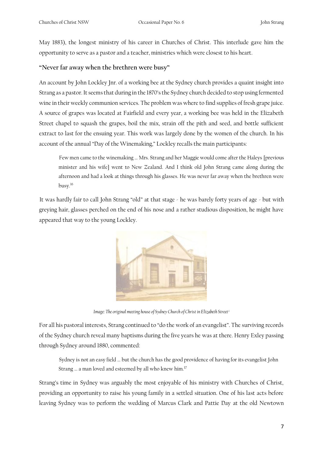May 1883), the longest ministry of his career in Churches of Christ. This interlude gave him the opportunity to serve as a pastor and a teacher, ministries which were closest to his heart.

#### **"Never far away when the brethren were busy"**

An account by John Lockley Jnr. of a working bee at the Sydney church provides a quaint insight into Strang as a pastor. It seems that during in the 1870's the Sydney church decided to stop using fermented wine in their weekly communion services. The problem was where to find supplies of fresh grape juice. A source of grapes was located at Fairfield and every year, a working bee was held in the Elizabeth Street chapel to squash the grapes, boil the mix, strain off the pith and seed, and bottle sufficient extract to last for the ensuing year. This work was largely done by the women of the church. In his account of the annual "Day of the Winemaking," Lockley recalls the main participants:

Few men came to the winemaking … Mrs. Strang and her Maggie would come after the Haleys [previous minister and his wife] went to New Zealand. And I think old John Strang came along during the afternoon and had a look at things through his glasses. He was never far away when the brethren were busy.<sup>16</sup>

It was hardly fair to call John Strang "old" at that stage - he was barely forty years of age - but with greying hair, glasses perched on the end of his nose and a rather studious disposition, he might have appeared that way to the young Lockley.



*Image: The original meeting house of Sydney Church of Christ in Elizabeth Street<sup>i</sup>*

For all his pastoral interests, Strang continued to "do the work of an evangelist". The surviving records of the Sydney church reveal many baptisms during the five years he was at there. Henry Exley passing through Sydney around 1880, commented:

Sydney is not an easy field … but the church has the good providence of having for its evangelist John Strang … a man loved and esteemed by all who knew him.<sup>17</sup>

Strang's time in Sydney was arguably the most enjoyable of his ministry with Churches of Christ, providing an opportunity to raise his young family in a settled situation. One of his last acts before leaving Sydney was to perform the wedding of Marcus Clark and Pattie Day at the old Newtown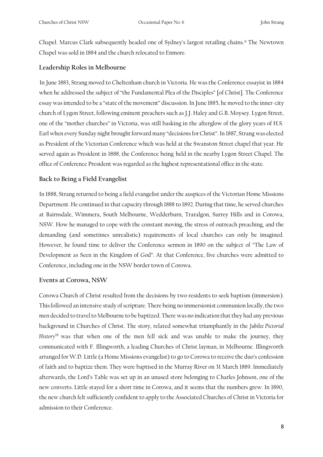Chapel. Marcus Clark subsequently headed one of Sydney's largest retailing chains.ii The Newtown Chapel was sold in 1884 and the church relocated to Enmore.

#### **Leadership Roles in Melbourne**

In June 1883, Strang moved to Cheltenham church in Victoria. He was the Conference essayist in 1884 when he addressed the subject of "the Fundamental Plea of the Disciples" [of Christ]. The Conference essay was intended to be a "state of the movement" discussion. In June 1885, he moved to the inner-city church of Lygon Street, following eminent preachers such as J.J. Haley and G.B. Moysey. Lygon Street, one of the "mother churches" in Victoria, was still basking in the afterglow of the glory years of H.S. Earl when every Sunday night brought forward many "decisions for Christ". In 1887, Strang was elected as President of the Victorian Conference which was held at the Swanston Street chapel that year. He served again as President in 1888, the Conference being held in the nearby Lygon Street Chapel. The office of Conference President was regarded as the highest representational office in the state.

#### **Back to Being a Field Evangelist**

In 1888, Strang returned to being a field evangelist under the auspices of the Victorian Home Missions Department. He continued in that capacity through 1888 to 1892. During that time, he served churches at Bairnsdale, Wimmera, South Melbourne, Wedderburn, Traralgon, Surrey Hills and in Corowa, NSW. How he managed to cope with the constant moving, the stress of outreach preaching, and the demanding (and sometimes unrealistic) requirements of local churches can only be imagined. However, he found time to deliver the Conference sermon in 1890 on the subject of "The Law of Development as Seen in the Kingdom of God". At that Conference, five churches were admitted to Conference, including one in the NSW border town of Corowa.

#### **Events at Corowa, NSW**

Corowa Church of Christ resulted from the decisions by two residents to seek baptism (immersion). This followed an intensive study of scripture. There being no immersionist communion locally, the two men decided to travel to Melbourne to be baptized. There was no indication that they had any previous background in Churches of Christ. The story, related somewhat triumphantly in the *Jubilee Pictorial History*<sup>18</sup> was that when one of the men fell sick and was unable to make the journey, they communicated with F. Illingworth, a leading Churches of Christ layman, in Melbourne. Illingworth arranged for W.D. Little (a Home Missions evangelist) to go to Corowa to receive the duo's confession of faith and to baptize them. They were baptised in the Murray River on 31 March 1889. Immediately afterwards, the Lord's Table was set up in an unused store belonging to Charles Johnson, one of the new converts. Little stayed for a short time in Corowa, and it seems that the numbers grew. In 1890, the new church felt sufficiently confident to apply to the Associated Churches of Christ in Victoria for admission to their Conference.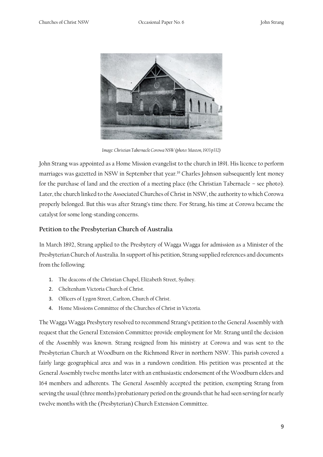

*Image: Christian Tabernacle Corowa NSW (photo: Maston, 1903 p332)*

John Strang was appointed as a Home Mission evangelist to the church in 1891. His licence to perform marriages was gazetted in NSW in September that year.<sup>19</sup> Charles Johnson subsequently lent money for the purchase of land and the erection of a meeting place (the Christian Tabernacle – see photo). Later, the church linked to the Associated Churches of Christ in NSW, the authority to which Corowa properly belonged. But this was after Strang's time there. For Strang, his time at Corowa became the catalyst for some long-standing concerns.

#### **Petition to the Presbyterian Church of Australia**

In March 1892, Strang applied to the Presbytery of Wagga Wagga for admission as a Minister of the Presbyterian Church of Australia. In support of his petition, Strang supplied references and documents from the following:

- 1. The deacons of the Christian Chapel, Elizabeth Street, Sydney.
- 2. Cheltenham Victoria Church of Christ.
- 3. Officers of Lygon Street, Carlton, Church of Christ.
- 4. Home Missions Committee of the Churches of Christ in Victoria.

The Wagga Wagga Presbytery resolved to recommend Strang's petition to the General Assembly with request that the General Extension Committee provide employment for Mr. Strang until the decision of the Assembly was known. Strang resigned from his ministry at Corowa and was sent to the Presbyterian Church at Woodburn on the Richmond River in northern NSW. This parish covered a fairly large geographical area and was in a rundown condition. His petition was presented at the General Assembly twelve months later with an enthusiastic endorsement of the Woodburn elders and 164 members and adherents. The General Assembly accepted the petition, exempting Strang from serving the usual (three months) probationary period on the grounds that he had seen serving for nearly twelve months with the (Presbyterian) Church Extension Committee.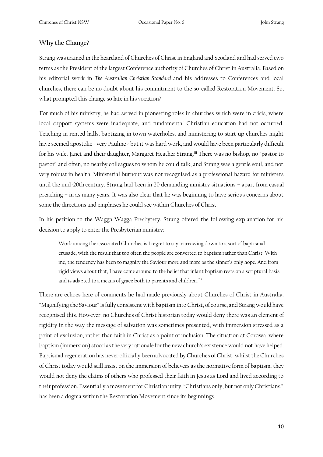#### **Why the Change?**

Strang was trained in the heartland of Churches of Christ in England and Scotland and had served two terms as the President of the largest Conference authority of Churches of Christ in Australia. Based on his editorial work in *The Australian Christian Standard* and his addresses to Conferences and local churches, there can be no doubt about his commitment to the so-called Restoration Movement. So, what prompted this change so late in his vocation?

For much of his ministry, he had served in pioneering roles in churches which were in crisis, where local support systems were inadequate, and fundamental Christian education had not occurred. Teaching in rented halls, baptizing in town waterholes, and ministering to start up churches might have seemed apostolic - very Pauline - but it was hard work, and would have been particularly difficult for his wife, Janet and their daughter, Margaret Heather Strang.iii There was no bishop, no "pastor to pastor" and often, no nearby colleagues to whom he could talk, and Strang was a gentle soul, and not very robust in health. Ministerial burnout was not recognised as a professional hazard for ministers until the mid-20th century. Strang had been in 20 demanding ministry situations – apart from casual preaching – in as many years. It was also clear that he was beginning to have serious concerns about some the directions and emphases he could see within Churches of Christ.

In his petition to the Wagga Wagga Presbytery, Strang offered the following explanation for his decision to apply to enter the Presbyterian ministry:

Work among the associated Churches is I regret to say, narrowing down to a sort of baptismal crusade, with the result that too often the people are converted to baptism rather than Christ. With me, the tendency has been to magnify the Saviour more and more as the sinner's only hope. And from rigid views about that, I have come around to the belief that infant baptism rests on a scriptural basis and is adapted to a means of grace both to parents and children.<sup>20</sup>

There are echoes here of comments he had made previously about Churches of Christ in Australia. "Magnifying the Saviour" is fully consistent with baptism into Christ, of course, and Strang would have recognised this. However, no Churches of Christ historian today would deny there was an element of rigidity in the way the message of salvation was sometimes presented, with immersion stressed as a point of exclusion, rather than faith in Christ as a point of inclusion. The situation at Corowa, where baptism (immersion) stood as the very rationale for the new church's existence would not have helped. Baptismal regeneration has never officially been advocated by Churches of Christ: whilst the Churches of Christ today would still insist on the immersion of believers as the normative form of baptism, they would not deny the claims of others who professed their faith in Jesus as Lord and lived according to their profession. Essentially a movement for Christian unity, "Christians only, but not only Christians," has been a dogma within the Restoration Movement since its beginnings.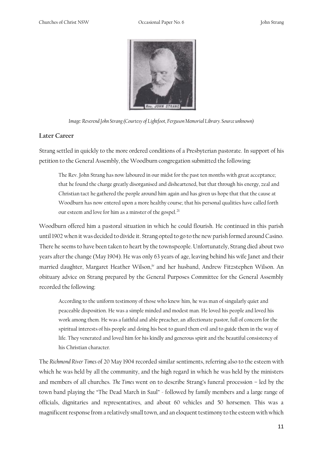

*Image: Reverend John Strang (Courtesy of Lightfoot, Ferguson Memorial Library. Source unknown)*

#### **Later Career**

Strang settled in quickly to the more ordered conditions of a Presbyterian pastorate. In support of his petition to the General Assembly, the Woodburn congregation submitted the following:

The Rev. John Strang has now laboured in our midst for the past ten months with great acceptance; that he found the charge greatly disorganised and disheartened, but that through his energy, zeal and Christian tact he gathered the people around him again and has given us hope that that the cause at Woodburn has now entered upon a more healthy course; that his personal qualities have called forth our esteem and love for him as a minster of the gospel.<sup>21</sup>

Woodburn offered him a pastoral situation in which he could flourish. He continued in this parish until 1902 when it was decided to divide it. Strang opted to go to the new parish formed around Casino. There he seems to have been taken to heart by the townspeople. Unfortunately, Strang died about two years after the change (May 1904). He was only 63 years of age, leaving behind his wife Janet and their married daughter, Margaret Heather Wilson,<sup>iv</sup> and her husband, Andrew Fitzstephen Wilson. An obituary advice on Strang prepared by the General Purposes Committee for the General Assembly recorded the following:

According to the uniform testimony of those who knew him, he was man of singularly quiet and peaceable disposition. He was a simple minded and modest man. He loved his people and loved his work among them. He was a faithful and able preacher, an affectionate pastor, full of concern for the spiritual interests of his people and doing his best to guard them evil and to guide them in the way of life. They venerated and loved him for his kindly and generous spirit and the beautiful consistency of his Christian character.

The *Richmond River Times* of 20 May 1904 recorded similar sentiments, referring also to the esteem with which he was held by all the community, and the high regard in which he was held by the ministers and members of all churches. *The Times* went on to describe Strang's funeral procession – led by the town band playing the "The Dead March in Saul" - followed by family members and a large range of officials, dignitaries and representatives, and about 60 vehicles and 50 horsemen. This was a magnificent response from a relatively small town, and an eloquent testimony to the esteem with which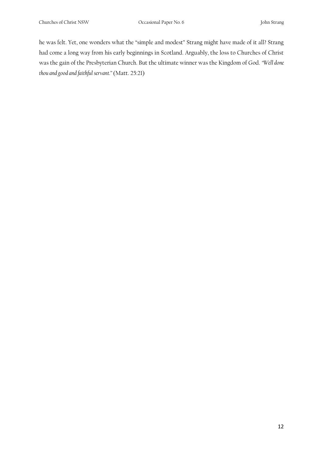he was felt. Yet, one wonders what the "simple and modest" Strang might have made of it all? Strang had come a long way from his early beginnings in Scotland. Arguably, the loss to Churches of Christ was the gain of the Presbyterian Church. But the ultimate winner was the Kingdom of God. *"Well done thou and good and faithful servant."* (Matt. 25:21)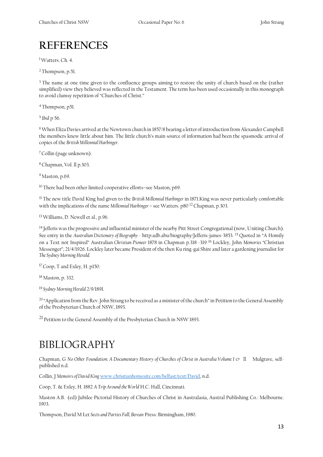### **REFERENCES**

<sup>1</sup>Watters. Ch. 4.

<sup>2</sup>Thompson, p.51.

<sup>3</sup> The name at one time given to the confluence groups aiming to restore the unity of church based on the (rather simplified) view they believed was reflected in the Testament. The term has been used occasionally in this monograph to avoid clumsy repetition of "Churches of Christ."

<sup>4</sup>Thompson, p51.

<sup>5</sup>*Ibid* p 56.

<sup>6</sup>When Eliza Davies arrived at the Newtown church in 1857/8 bearing a letter of introduction from Alexander Campbell the members knew little about him. The little church's main source of information had been the spasmodic arrival of copies of the *British Millennial Harbinger.*

<sup>7</sup>Collin (page unknown).

<sup>8</sup>Chapman, Vol. ll p.303.

<sup>9</sup> Maston, p.69.

<sup>10</sup>There had been other limited cooperative efforts–see Maston, p69.

<sup>11</sup>The new title David King had given to the *British Millennial Harbinger* in 1871.King was never particularly comfortable with the implications of the name *Millennial Harbinger* – see Watters. p80 12 Chapman, p.303.

<sup>13</sup>Williams, D. Newell et al., p.96.

<sup>14</sup> Jefferis was the progressive and influential minister of the nearby Pitt Street Congregational (now, Uniting Church). See entry in the *Australian Dictionary of Biography* - http:adb.abu/biography/Jefferis-james-3853. 15 Quoted in "A Homily on a Text not Inspired" Australian *Christian Pioneer* 1878 in Chapman p.318 -319 16 Lockley, John *Memories* "Christian Messenger", 21/4/1926. Lockley later became President of the then Ku ring-gai Shire and later a gardening journalist for *The Sydney Morning Herald.*

<sup>17</sup>Coop, T and Exley, H. p150.

<sup>18</sup>Maston, p. 332.

<sup>19</sup>*Sydney Morning Herald* 2/9/1891.

<sup>20</sup>"Application from the Rev. John Strang to be received as a minister of the church" in Petition to the General Assembly of the Presbyterian Church of NSW, 1893.

<sup>21</sup> Petition to the General Assembly of the Presbyterian Church in NSW 1893.

### BIBLIOGRAPHY

Chapman, G *No Other Foundation: A Documentary History of Churches of Christ in Australia Volume I &* ll Mulgrave, selfpublished n.d.

Collin, J *Memoirs of David King* [www.christianhomesite.com/belfast/text/David,](http://www.christianhomesite.com/belfast/text/David) n.d.

Coop, T. & Exley, H. 1882 *A Trip Around the World* H.C. Hall, Cincinnati.

Maston A.B. (ed) Jubilee Pictorial History of Churches of Christ in Australasia, Austral Publishing Co.: Melbourne*.*  1903.

Thompson, David M Let *Sects and Parties Fall, Berean* Press: Birmingham, 1980.